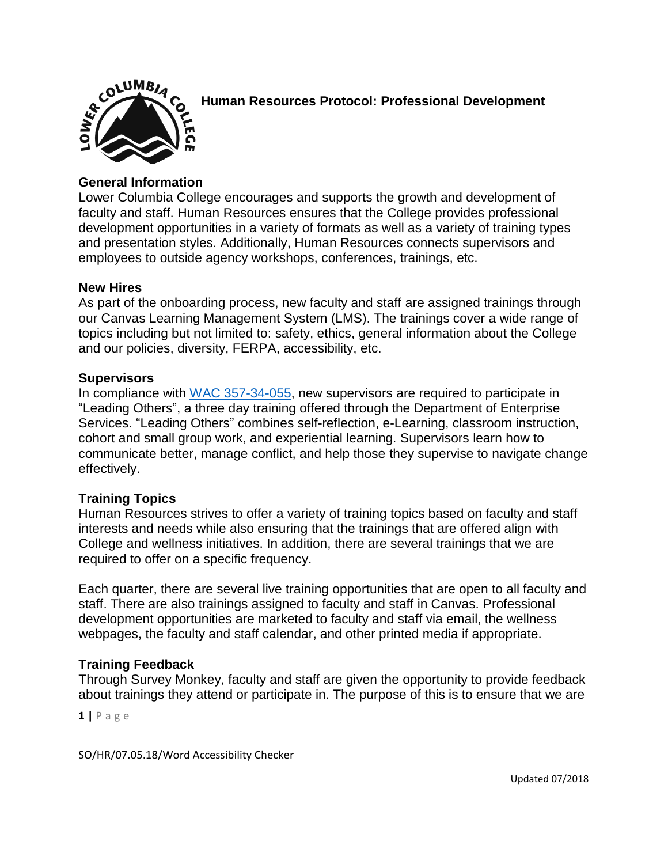

**Human Resources Protocol: Professional Development**

# **General Information**

Lower Columbia College encourages and supports the growth and development of faculty and staff. Human Resources ensures that the College provides professional development opportunities in a variety of formats as well as a variety of training types and presentation styles. Additionally, Human Resources connects supervisors and employees to outside agency workshops, conferences, trainings, etc.

### **New Hires**

As part of the onboarding process, new faculty and staff are assigned trainings through our Canvas Learning Management System (LMS). The trainings cover a wide range of topics including but not limited to: safety, ethics, general information about the College and our policies, diversity, FERPA, accessibility, etc.

#### **Supervisors**

In compliance with [WAC 357-34-055,](http://apps.leg.wa.gov/WAC/default.aspx?cite=357-34-055) new supervisors are required to participate in "Leading Others", a three day training offered through the Department of Enterprise Services. "Leading Others" combines self-reflection, e-Learning, classroom instruction, cohort and small group work, and experiential learning. Supervisors learn how to communicate better, manage conflict, and help those they supervise to navigate change effectively.

### **Training Topics**

Human Resources strives to offer a variety of training topics based on faculty and staff interests and needs while also ensuring that the trainings that are offered align with College and wellness initiatives. In addition, there are several trainings that we are required to offer on a specific frequency.

Each quarter, there are several live training opportunities that are open to all faculty and staff. There are also trainings assigned to faculty and staff in Canvas. Professional development opportunities are marketed to faculty and staff via email, the wellness webpages, the faculty and staff calendar, and other printed media if appropriate.

### **Training Feedback**

Through Survey Monkey, faculty and staff are given the opportunity to provide feedback about trainings they attend or participate in. The purpose of this is to ensure that we are

**1 |** P a g e

SO/HR/07.05.18/Word Accessibility Checker